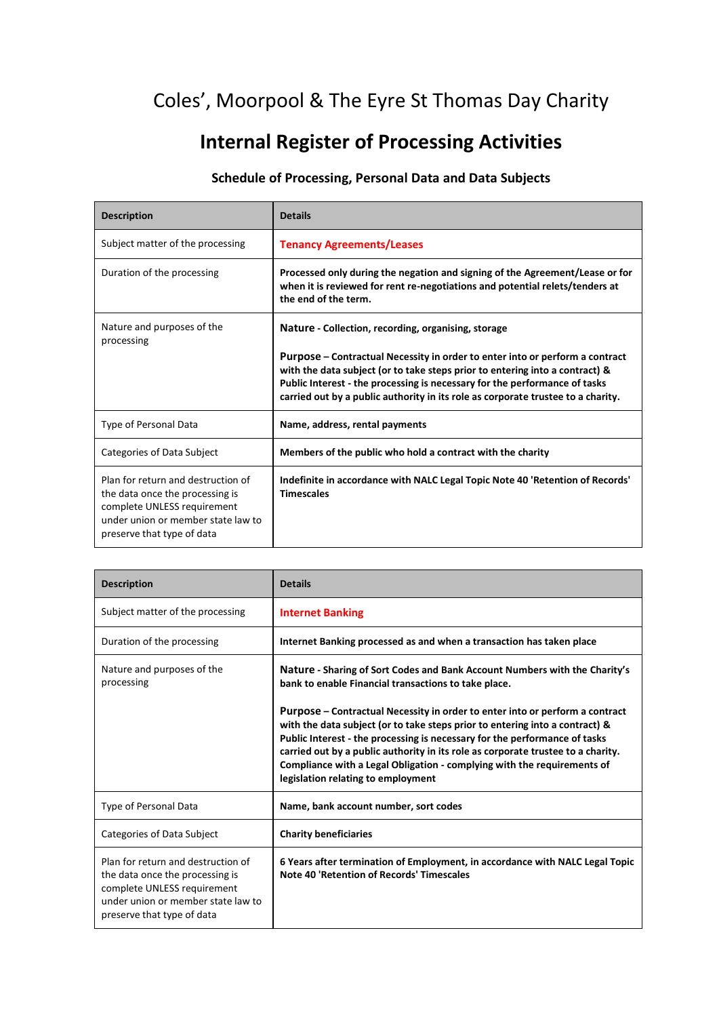## Coles', Moorpool & The Eyre St Thomas Day Charity

## **Internal Register of Processing Activities**

## **Schedule of Processing, Personal Data and Data Subjects**

| <b>Description</b>                                                                                                                                                       | <b>Details</b>                                                                                                                                                                                                                                                                                                                                                                        |
|--------------------------------------------------------------------------------------------------------------------------------------------------------------------------|---------------------------------------------------------------------------------------------------------------------------------------------------------------------------------------------------------------------------------------------------------------------------------------------------------------------------------------------------------------------------------------|
| Subject matter of the processing                                                                                                                                         | <b>Tenancy Agreements/Leases</b>                                                                                                                                                                                                                                                                                                                                                      |
| Duration of the processing                                                                                                                                               | Processed only during the negation and signing of the Agreement/Lease or for<br>when it is reviewed for rent re-negotiations and potential relets/tenders at<br>the end of the term.                                                                                                                                                                                                  |
| Nature and purposes of the<br>processing                                                                                                                                 | Nature - Collection, recording, organising, storage<br>Purpose – Contractual Necessity in order to enter into or perform a contract<br>with the data subject (or to take steps prior to entering into a contract) &<br>Public Interest - the processing is necessary for the performance of tasks<br>carried out by a public authority in its role as corporate trustee to a charity. |
| Type of Personal Data                                                                                                                                                    | Name, address, rental payments                                                                                                                                                                                                                                                                                                                                                        |
| Categories of Data Subject                                                                                                                                               | Members of the public who hold a contract with the charity                                                                                                                                                                                                                                                                                                                            |
| Plan for return and destruction of<br>the data once the processing is<br>complete UNLESS requirement<br>under union or member state law to<br>preserve that type of data | Indefinite in accordance with NALC Legal Topic Note 40 'Retention of Records'<br><b>Timescales</b>                                                                                                                                                                                                                                                                                    |

| <b>Description</b>                                                                                                                                                       | <b>Details</b>                                                                                                                                                                                                                                                                                                                                                                                                                                  |
|--------------------------------------------------------------------------------------------------------------------------------------------------------------------------|-------------------------------------------------------------------------------------------------------------------------------------------------------------------------------------------------------------------------------------------------------------------------------------------------------------------------------------------------------------------------------------------------------------------------------------------------|
| Subject matter of the processing                                                                                                                                         | <b>Internet Banking</b>                                                                                                                                                                                                                                                                                                                                                                                                                         |
| Duration of the processing                                                                                                                                               | Internet Banking processed as and when a transaction has taken place                                                                                                                                                                                                                                                                                                                                                                            |
| Nature and purposes of the<br>processing                                                                                                                                 | Nature - Sharing of Sort Codes and Bank Account Numbers with the Charity's<br>bank to enable Financial transactions to take place.                                                                                                                                                                                                                                                                                                              |
|                                                                                                                                                                          | Purpose – Contractual Necessity in order to enter into or perform a contract<br>with the data subject (or to take steps prior to entering into a contract) &<br>Public Interest - the processing is necessary for the performance of tasks<br>carried out by a public authority in its role as corporate trustee to a charity.<br>Compliance with a Legal Obligation - complying with the requirements of<br>legislation relating to employment |
| <b>Type of Personal Data</b>                                                                                                                                             | Name, bank account number, sort codes                                                                                                                                                                                                                                                                                                                                                                                                           |
| Categories of Data Subject                                                                                                                                               | <b>Charity beneficiaries</b>                                                                                                                                                                                                                                                                                                                                                                                                                    |
| Plan for return and destruction of<br>the data once the processing is<br>complete UNLESS requirement<br>under union or member state law to<br>preserve that type of data | 6 Years after termination of Employment, in accordance with NALC Legal Topic<br>Note 40 'Retention of Records' Timescales                                                                                                                                                                                                                                                                                                                       |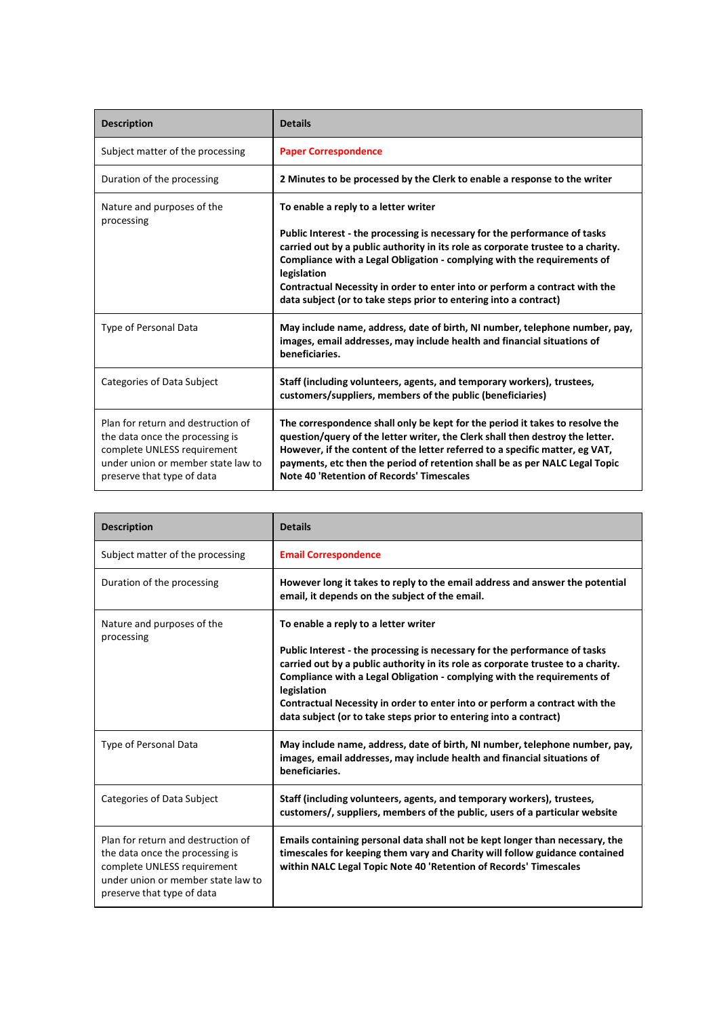| <b>Description</b>                                                                                                                                                       | <b>Details</b>                                                                                                                                                                                                                                                                                                                                                                                                                                       |
|--------------------------------------------------------------------------------------------------------------------------------------------------------------------------|------------------------------------------------------------------------------------------------------------------------------------------------------------------------------------------------------------------------------------------------------------------------------------------------------------------------------------------------------------------------------------------------------------------------------------------------------|
| Subject matter of the processing                                                                                                                                         | <b>Paper Correspondence</b>                                                                                                                                                                                                                                                                                                                                                                                                                          |
| Duration of the processing                                                                                                                                               | 2 Minutes to be processed by the Clerk to enable a response to the writer                                                                                                                                                                                                                                                                                                                                                                            |
| Nature and purposes of the<br>processing                                                                                                                                 | To enable a reply to a letter writer<br>Public Interest - the processing is necessary for the performance of tasks<br>carried out by a public authority in its role as corporate trustee to a charity.<br>Compliance with a Legal Obligation - complying with the requirements of<br>legislation<br>Contractual Necessity in order to enter into or perform a contract with the<br>data subject (or to take steps prior to entering into a contract) |
| Type of Personal Data                                                                                                                                                    | May include name, address, date of birth, NI number, telephone number, pay,<br>images, email addresses, may include health and financial situations of<br>beneficiaries.                                                                                                                                                                                                                                                                             |
| Categories of Data Subject                                                                                                                                               | Staff (including volunteers, agents, and temporary workers), trustees,<br>customers/suppliers, members of the public (beneficiaries)                                                                                                                                                                                                                                                                                                                 |
| Plan for return and destruction of<br>the data once the processing is<br>complete UNLESS requirement<br>under union or member state law to<br>preserve that type of data | The correspondence shall only be kept for the period it takes to resolve the<br>question/query of the letter writer, the Clerk shall then destroy the letter.<br>However, if the content of the letter referred to a specific matter, eg VAT,<br>payments, etc then the period of retention shall be as per NALC Legal Topic<br>Note 40 'Retention of Records' Timescales                                                                            |

| <b>Description</b>                                                                                                                                                       | <b>Details</b>                                                                                                                                                                                                                                                                                                                                                                                               |
|--------------------------------------------------------------------------------------------------------------------------------------------------------------------------|--------------------------------------------------------------------------------------------------------------------------------------------------------------------------------------------------------------------------------------------------------------------------------------------------------------------------------------------------------------------------------------------------------------|
| Subject matter of the processing                                                                                                                                         | <b>Email Correspondence</b>                                                                                                                                                                                                                                                                                                                                                                                  |
| Duration of the processing                                                                                                                                               | However long it takes to reply to the email address and answer the potential<br>email, it depends on the subject of the email.                                                                                                                                                                                                                                                                               |
| Nature and purposes of the<br>processing                                                                                                                                 | To enable a reply to a letter writer                                                                                                                                                                                                                                                                                                                                                                         |
|                                                                                                                                                                          | Public Interest - the processing is necessary for the performance of tasks<br>carried out by a public authority in its role as corporate trustee to a charity.<br>Compliance with a Legal Obligation - complying with the requirements of<br>legislation<br>Contractual Necessity in order to enter into or perform a contract with the<br>data subject (or to take steps prior to entering into a contract) |
| Type of Personal Data                                                                                                                                                    | May include name, address, date of birth, NI number, telephone number, pay,<br>images, email addresses, may include health and financial situations of<br>beneficiaries.                                                                                                                                                                                                                                     |
| Categories of Data Subject                                                                                                                                               | Staff (including volunteers, agents, and temporary workers), trustees,<br>customers/, suppliers, members of the public, users of a particular website                                                                                                                                                                                                                                                        |
| Plan for return and destruction of<br>the data once the processing is<br>complete UNLESS requirement<br>under union or member state law to<br>preserve that type of data | Emails containing personal data shall not be kept longer than necessary, the<br>timescales for keeping them vary and Charity will follow guidance contained<br>within NALC Legal Topic Note 40 'Retention of Records' Timescales                                                                                                                                                                             |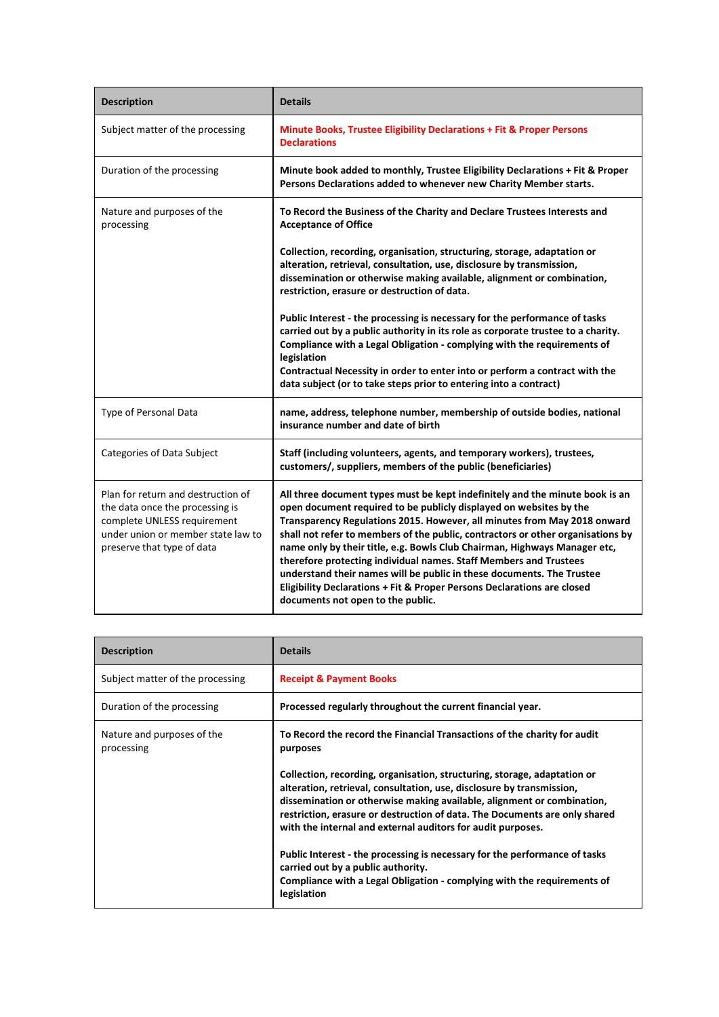| <b>Description</b>                                                                                                                                                       | <b>Details</b>                                                                                                                                                                                                                                                                                                                                                                                                                                                                                                                                                                                                                                               |
|--------------------------------------------------------------------------------------------------------------------------------------------------------------------------|--------------------------------------------------------------------------------------------------------------------------------------------------------------------------------------------------------------------------------------------------------------------------------------------------------------------------------------------------------------------------------------------------------------------------------------------------------------------------------------------------------------------------------------------------------------------------------------------------------------------------------------------------------------|
| Subject matter of the processing                                                                                                                                         | Minute Books, Trustee Eligibility Declarations + Fit & Proper Persons<br><b>Declarations</b>                                                                                                                                                                                                                                                                                                                                                                                                                                                                                                                                                                 |
| Duration of the processing                                                                                                                                               | Minute book added to monthly, Trustee Eligibility Declarations + Fit & Proper<br>Persons Declarations added to whenever new Charity Member starts.                                                                                                                                                                                                                                                                                                                                                                                                                                                                                                           |
| Nature and purposes of the<br>processing                                                                                                                                 | To Record the Business of the Charity and Declare Trustees Interests and<br><b>Acceptance of Office</b>                                                                                                                                                                                                                                                                                                                                                                                                                                                                                                                                                      |
|                                                                                                                                                                          | Collection, recording, organisation, structuring, storage, adaptation or<br>alteration, retrieval, consultation, use, disclosure by transmission,<br>dissemination or otherwise making available, alignment or combination,<br>restriction, erasure or destruction of data.                                                                                                                                                                                                                                                                                                                                                                                  |
|                                                                                                                                                                          | Public Interest - the processing is necessary for the performance of tasks<br>carried out by a public authority in its role as corporate trustee to a charity.<br>Compliance with a Legal Obligation - complying with the requirements of<br>legislation<br>Contractual Necessity in order to enter into or perform a contract with the<br>data subject (or to take steps prior to entering into a contract)                                                                                                                                                                                                                                                 |
| Type of Personal Data                                                                                                                                                    | name, address, telephone number, membership of outside bodies, national<br>insurance number and date of birth                                                                                                                                                                                                                                                                                                                                                                                                                                                                                                                                                |
| Categories of Data Subject                                                                                                                                               | Staff (including volunteers, agents, and temporary workers), trustees,<br>customers/, suppliers, members of the public (beneficiaries)                                                                                                                                                                                                                                                                                                                                                                                                                                                                                                                       |
| Plan for return and destruction of<br>the data once the processing is<br>complete UNLESS requirement<br>under union or member state law to<br>preserve that type of data | All three document types must be kept indefinitely and the minute book is an<br>open document required to be publicly displayed on websites by the<br>Transparency Regulations 2015. However, all minutes from May 2018 onward<br>shall not refer to members of the public, contractors or other organisations by<br>name only by their title, e.g. Bowls Club Chairman, Highways Manager etc,<br>therefore protecting individual names. Staff Members and Trustees<br>understand their names will be public in these documents. The Trustee<br>Eligibility Declarations + Fit & Proper Persons Declarations are closed<br>documents not open to the public. |

| <b>Description</b>                       | <b>Details</b>                                                                                                                                                                                                                                                                                                                                                           |
|------------------------------------------|--------------------------------------------------------------------------------------------------------------------------------------------------------------------------------------------------------------------------------------------------------------------------------------------------------------------------------------------------------------------------|
| Subject matter of the processing         | <b>Receipt &amp; Payment Books</b>                                                                                                                                                                                                                                                                                                                                       |
| Duration of the processing               | Processed regularly throughout the current financial year.                                                                                                                                                                                                                                                                                                               |
| Nature and purposes of the<br>processing | To Record the record the Financial Transactions of the charity for audit<br>purposes                                                                                                                                                                                                                                                                                     |
|                                          | Collection, recording, organisation, structuring, storage, adaptation or<br>alteration, retrieval, consultation, use, disclosure by transmission,<br>dissemination or otherwise making available, alignment or combination,<br>restriction, erasure or destruction of data. The Documents are only shared<br>with the internal and external auditors for audit purposes. |
|                                          | Public Interest - the processing is necessary for the performance of tasks<br>carried out by a public authority.<br>Compliance with a Legal Obligation - complying with the requirements of<br>legislation                                                                                                                                                               |